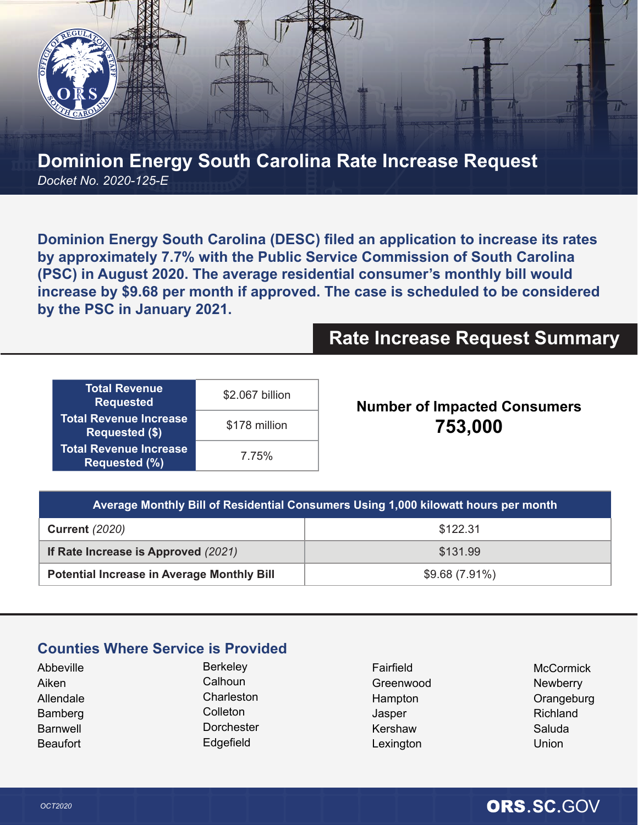

## **Dominion Energy South Carolina Rate Increase Request** *Docket No. 2020-125-E*

**Dominion Energy South Carolina (DESC) filed an application to increase its rates by approximately 7.7% with the Public Service Commission of South Carolina (PSC) in August 2020. The average residential consumer's monthly bill would increase by \$9.68 per month if approved. The case is scheduled to be considered by the PSC in January 2021.**

# **Rate Increase Request Summary**

| <b>Total Revenue</b><br><b>Requested</b>               | \$2.067 billion |
|--------------------------------------------------------|-----------------|
| <b>Total Revenue Increase</b><br><b>Requested (\$)</b> | \$178 million   |
| <b>Total Revenue Increase</b><br><b>Requested (%)</b>  | 7.75%           |

**Number of Impacted Consumers 753,000**

| Average Monthly Bill of Residential Consumers Using 1,000 kilowatt hours per month |               |  |
|------------------------------------------------------------------------------------|---------------|--|
| <b>Current</b> (2020)                                                              | \$122.31      |  |
| If Rate Increase is Approved (2021)                                                | \$131.99      |  |
| <b>Potential Increase in Average Monthly Bill</b>                                  | \$9.68(7.91%) |  |

### **Counties Where Service is Provided**

| Abbeville |  |  |
|-----------|--|--|
| Aiken     |  |  |
| Allendale |  |  |
| Bamberg   |  |  |
| Barnwell  |  |  |
| Beaufort  |  |  |
|           |  |  |

**Berkeley Calhoun** Charleston Colleton **Dorchester** Edgefield

Fairfield Greenwood Hampton Jasper Kershaw Lexington

**McCormick Newberry Orangeburg** Richland Saluda **Union** 

## OCT2020 **ORS.SC.**GOV